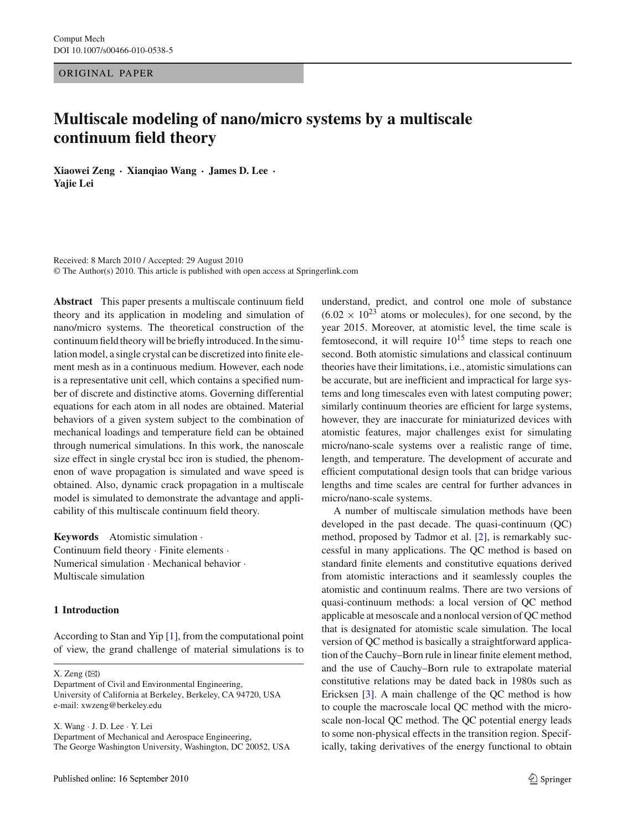ORIGINAL PAPER

# **Multiscale modeling of nano/micro systems by a multiscale continuum field theory**

**Xiaowei Zeng · Xianqiao Wang · James D. Lee · Yajie Lei**

Received: 8 March 2010 / Accepted: 29 August 2010 © The Author(s) 2010. This article is published with open access at Springerlink.com

**Abstract** This paper presents a multiscale continuum field theory and its application in modeling and simulation of nano/micro systems. The theoretical construction of the continuum field theory will be briefly introduced. In the simulation model, a single crystal can be discretized into finite element mesh as in a continuous medium. However, each node is a representative unit cell, which contains a specified number of discrete and distinctive atoms. Governing differential equations for each atom in all nodes are obtained. Material behaviors of a given system subject to the combination of mechanical loadings and temperature field can be obtained through numerical simulations. In this work, the nanoscale size effect in single crystal bcc iron is studied, the phenomenon of wave propagation is simulated and wave speed is obtained. Also, dynamic crack propagation in a multiscale model is simulated to demonstrate the advantage and applicability of this multiscale continuum field theory.

**Keywords** Atomistic simulation · Continuum field theory · Finite elements · Numerical simulation · Mechanical behavior · Multiscale simulation

# **1 Introduction**

According to Stan and Yip [\[1\]](#page-10-0), from the computational point of view, the grand challenge of material simulations is to

X. Zeng  $(\boxtimes)$ 

Department of Civil and Environmental Engineering, University of California at Berkeley, Berkeley, CA 94720, USA e-mail: xwzeng@berkeley.edu

X. Wang · J. D. Lee · Y. Lei Department of Mechanical and Aerospace Engineering,

The George Washington University, Washington, DC 20052, USA

understand, predict, and control one mole of substance  $(6.02 \times 10^{23}$  atoms or molecules), for one second, by the year 2015. Moreover, at atomistic level, the time scale is femtosecond, it will require  $10^{15}$  time steps to reach one second. Both atomistic simulations and classical continuum theories have their limitations, i.e., atomistic simulations can be accurate, but are inefficient and impractical for large systems and long timescales even with latest computing power; similarly continuum theories are efficient for large systems, however, they are inaccurate for miniaturized devices with atomistic features, major challenges exist for simulating micro/nano-scale systems over a realistic range of time, length, and temperature. The development of accurate and efficient computational design tools that can bridge various lengths and time scales are central for further advances in micro/nano-scale systems.

A number of multiscale simulation methods have been developed in the past decade. The quasi-continuum (QC) method, proposed by Tadmor et al. [\[2](#page-10-1)], is remarkably successful in many applications. The QC method is based on standard finite elements and constitutive equations derived from atomistic interactions and it seamlessly couples the atomistic and continuum realms. There are two versions of quasi-continuum methods: a local version of QC method applicable at mesoscale and a nonlocal version of QC method that is designated for atomistic scale simulation. The local version of QC method is basically a straightforward application of the Cauchy–Born rule in linear finite element method, and the use of Cauchy–Born rule to extrapolate material constitutive relations may be dated back in 1980s such as Ericksen [\[3\]](#page-11-0). A main challenge of the QC method is how to couple the macroscale local QC method with the microscale non-local QC method. The QC potential energy leads to some non-physical effects in the transition region. Specifically, taking derivatives of the energy functional to obtain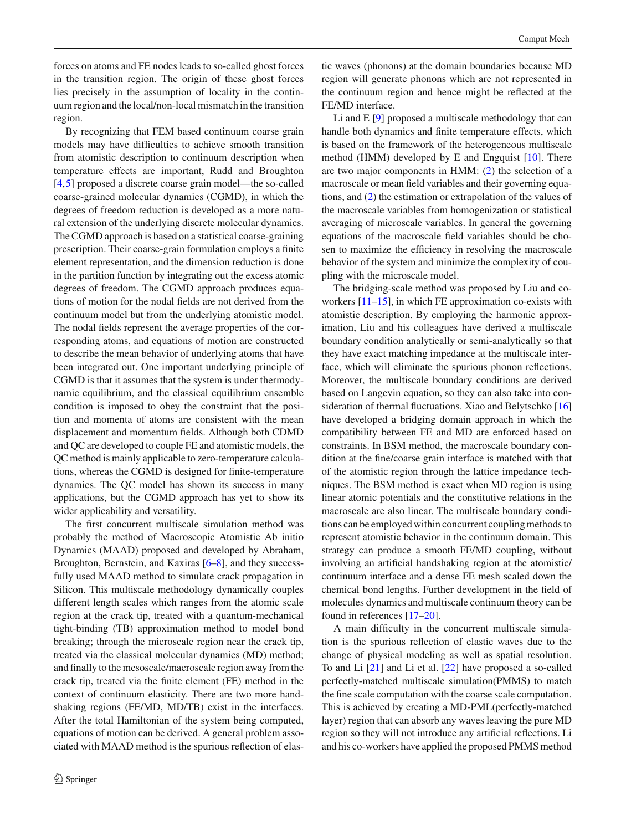forces on atoms and FE nodes leads to so-called ghost forces in the transition region. The origin of these ghost forces lies precisely in the assumption of locality in the continuum region and the local/non-local mismatch in the transition region.

By recognizing that FEM based continuum coarse grain models may have difficulties to achieve smooth transition from atomistic description to continuum description when temperature effects are important, Rudd and Broughton [\[4](#page-11-1),[5\]](#page-11-2) proposed a discrete coarse grain model—the so-called coarse-grained molecular dynamics (CGMD), in which the degrees of freedom reduction is developed as a more natural extension of the underlying discrete molecular dynamics. The CGMD approach is based on a statistical coarse-graining prescription. Their coarse-grain formulation employs a finite element representation, and the dimension reduction is done in the partition function by integrating out the excess atomic degrees of freedom. The CGMD approach produces equations of motion for the nodal fields are not derived from the continuum model but from the underlying atomistic model. The nodal fields represent the average properties of the corresponding atoms, and equations of motion are constructed to describe the mean behavior of underlying atoms that have been integrated out. One important underlying principle of CGMD is that it assumes that the system is under thermodynamic equilibrium, and the classical equilibrium ensemble condition is imposed to obey the constraint that the position and momenta of atoms are consistent with the mean displacement and momentum fields. Although both CDMD and QC are developed to couple FE and atomistic models, the QC method is mainly applicable to zero-temperature calculations, whereas the CGMD is designed for finite-temperature dynamics. The QC model has shown its success in many applications, but the CGMD approach has yet to show its wider applicability and versatility.

The first concurrent multiscale simulation method was probably the method of Macroscopic Atomistic Ab initio Dynamics (MAAD) proposed and developed by Abraham, Broughton, Bernstein, and Kaxiras [\[6](#page-11-3)[–8\]](#page-11-4), and they successfully used MAAD method to simulate crack propagation in Silicon. This multiscale methodology dynamically couples different length scales which ranges from the atomic scale region at the crack tip, treated with a quantum-mechanical tight-binding (TB) approximation method to model bond breaking; through the microscale region near the crack tip, treated via the classical molecular dynamics (MD) method; and finally to the mesoscale/macroscale region away from the crack tip, treated via the finite element (FE) method in the context of continuum elasticity. There are two more handshaking regions (FE/MD, MD/TB) exist in the interfaces. After the total Hamiltonian of the system being computed, equations of motion can be derived. A general problem associated with MAAD method is the spurious reflection of elas-

tic waves (phonons) at the domain boundaries because MD region will generate phonons which are not represented in the continuum region and hence might be reflected at the FE/MD interface.

Li and E [\[9\]](#page-11-5) proposed a multiscale methodology that can handle both dynamics and finite temperature effects, which is based on the framework of the heterogeneous multiscale method (HMM) developed by E and Engquist [\[10\]](#page-11-6). There are two major components in HMM: [\(2\)](#page-2-0) the selection of a macroscale or mean field variables and their governing equations, and [\(2\)](#page-2-1) the estimation or extrapolation of the values of the macroscale variables from homogenization or statistical averaging of microscale variables. In general the governing equations of the macroscale field variables should be chosen to maximize the efficiency in resolving the macroscale behavior of the system and minimize the complexity of coupling with the microscale model.

The bridging-scale method was proposed by Liu and coworkers  $[11-15]$  $[11-15]$ , in which FE approximation co-exists with atomistic description. By employing the harmonic approximation, Liu and his colleagues have derived a multiscale boundary condition analytically or semi-analytically so that they have exact matching impedance at the multiscale interface, which will eliminate the spurious phonon reflections. Moreover, the multiscale boundary conditions are derived based on Langevin equation, so they can also take into con-sideration of thermal fluctuations. Xiao and Belytschko [\[16\]](#page-11-9) have developed a bridging domain approach in which the compatibility between FE and MD are enforced based on constraints. In BSM method, the macroscale boundary condition at the fine/coarse grain interface is matched with that of the atomistic region through the lattice impedance techniques. The BSM method is exact when MD region is using linear atomic potentials and the constitutive relations in the macroscale are also linear. The multiscale boundary conditions can be employed within concurrent coupling methods to represent atomistic behavior in the continuum domain. This strategy can produce a smooth FE/MD coupling, without involving an artificial handshaking region at the atomistic/ continuum interface and a dense FE mesh scaled down the chemical bond lengths. Further development in the field of molecules dynamics and multiscale continuum theory can be found in references [\[17](#page-11-10)[–20\]](#page-11-11).

A main difficulty in the concurrent multiscale simulation is the spurious reflection of elastic waves due to the change of physical modeling as well as spatial resolution. To and Li [\[21\]](#page-11-12) and Li et al. [\[22\]](#page-11-13) have proposed a so-called perfectly-matched multiscale simulation(PMMS) to match the fine scale computation with the coarse scale computation. This is achieved by creating a MD-PML(perfectly-matched layer) region that can absorb any waves leaving the pure MD region so they will not introduce any artificial reflections. Li and his co-workers have applied the proposed PMMS method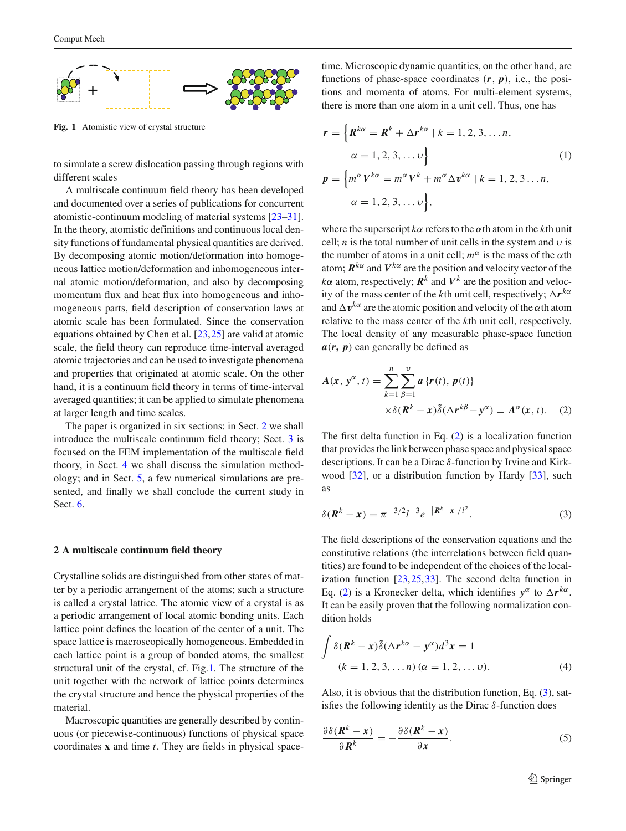

<span id="page-2-3"></span>**Fig. 1** Atomistic view of crystal structure

to simulate a screw dislocation passing through regions with different scales

A multiscale continuum field theory has been developed and documented over a series of publications for concurrent atomistic-continuum modeling of material systems [\[23](#page-11-14)[–31](#page-11-15)]. In the theory, atomistic definitions and continuous local density functions of fundamental physical quantities are derived. By decomposing atomic motion/deformation into homogeneous lattice motion/deformation and inhomogeneous internal atomic motion/deformation, and also by decomposing momentum flux and heat flux into homogeneous and inhomogeneous parts, field description of conservation laws at atomic scale has been formulated. Since the conservation equations obtained by Chen et al. [\[23,](#page-11-14)[25\]](#page-11-16) are valid at atomic scale, the field theory can reproduce time-interval averaged atomic trajectories and can be used to investigate phenomena and properties that originated at atomic scale. On the other hand, it is a continuum field theory in terms of time-interval averaged quantities; it can be applied to simulate phenomena at larger length and time scales.

The paper is organized in six sections: in Sect. [2](#page-2-2) we shall introduce the multiscale continuum field theory; Sect. [3](#page-4-0) is focused on the FEM implementation of the multiscale field theory, in Sect. [4](#page-7-0) we shall discuss the simulation methodology; and in Sect. [5,](#page-8-0) a few numerical simulations are presented, and finally we shall conclude the current study in Sect. [6.](#page-9-0)

## <span id="page-2-2"></span>**2 A multiscale continuum field theory**

Crystalline solids are distinguished from other states of matter by a periodic arrangement of the atoms; such a structure is called a crystal lattice. The atomic view of a crystal is as a periodic arrangement of local atomic bonding units. Each lattice point defines the location of the center of a unit. The space lattice is macroscopically homogeneous. Embedded in each lattice point is a group of bonded atoms, the smallest structural unit of the crystal, cf. Fig[.1.](#page-2-3) The structure of the unit together with the network of lattice points determines the crystal structure and hence the physical properties of the material.

Macroscopic quantities are generally described by continuous (or piecewise-continuous) functions of physical space coordinates **x** and time *t*. They are fields in physical space-

time. Microscopic dynamic quantities, on the other hand, are functions of phase-space coordinates  $(r, p)$ , i.e., the positions and momenta of atoms. For multi-element systems, there is more than one atom in a unit cell. Thus, one has

<span id="page-2-0"></span>
$$
\mathbf{r} = \left\{ \mathbf{R}^{k\alpha} = \mathbf{R}^k + \Delta \mathbf{r}^{k\alpha} \mid k = 1, 2, 3, \dots n, \right. \newline \alpha = 1, 2, 3, \dots v \right\} \tag{1}
$$
\n
$$
\mathbf{p} = \left\{ m^\alpha \mathbf{V}^{k\alpha} = m^\alpha \mathbf{V}^k + m^\alpha \Delta \mathbf{v}^{k\alpha} \mid k = 1, 2, 3 \dots n, \right. \newline \alpha = 1, 2, 3, \dots v \right\},
$$

where the superscript *k*α refers to the αth atom in the *k*th unit cell; *n* is the total number of unit cells in the system and  $v$  is the number of atoms in a unit cell;  $m^{\alpha}$  is the mass of the  $\alpha$ <sup>th</sup> atom;  $\mathbf{R}^{k\alpha}$  and  $V^{k\alpha}$  are the position and velocity vector of the  $k\alpha$  atom, respectively;  $\mathbf{R}^k$  and  $V^k$  are the position and velocity of the mass center of the *k*th unit cell, respectively;  $\Delta r^{k\alpha}$ and  $\Delta v^{k\alpha}$  are the atomic position and velocity of the  $\alpha$ th atom relative to the mass center of the *k*th unit cell, respectively. The local density of any measurable phase-space function  $a(r, p)$  can generally be defined as

<span id="page-2-1"></span>
$$
A(x, y^{\alpha}, t) = \sum_{k=1}^{n} \sum_{\beta=1}^{v} a \{r(t), p(t)\}
$$

$$
\times \delta(\mathbf{R}^{k} - x)\tilde{\delta}(\Delta r^{k\beta} - y^{\alpha}) \equiv A^{\alpha}(x, t). \quad (2)
$$

The first delta function in Eq. [\(2\)](#page-2-1) is a localization function that provides the link between phase space and physical space descriptions. It can be a Dirac δ-function by Irvine and Kirkwood [\[32](#page-11-17)], or a distribution function by Hardy [\[33\]](#page-11-18), such as

<span id="page-2-4"></span>
$$
\delta(\mathbf{R}^k - \mathbf{x}) = \pi^{-3/2} l^{-3} e^{-|\mathbf{R}^k - \mathbf{x}|/l^2}.
$$
 (3)

The field descriptions of the conservation equations and the constitutive relations (the interrelations between field quantities) are found to be independent of the choices of the localization function [\[23](#page-11-14)[,25](#page-11-16)[,33](#page-11-18)]. The second delta function in Eq. [\(2\)](#page-2-1) is a Kronecker delta, which identifies  $y^{\alpha}$  to  $\Delta r^{k\alpha}$ . It can be easily proven that the following normalization condition holds

$$
\int \delta(\mathbf{R}^{k} - \mathbf{x}) \tilde{\delta}(\Delta \mathbf{r}^{k\alpha} - \mathbf{y}^{\alpha}) d^{3} \mathbf{x} = 1
$$
  
(k = 1, 2, 3, ..., n) (\alpha = 1, 2, ..., v). (4)

Also, it is obvious that the distribution function, Eq. [\(3\)](#page-2-4), satisfies the following identity as the Dirac  $\delta$ -function does

<span id="page-2-5"></span>
$$
\frac{\partial \delta(\boldsymbol{R}^k - \boldsymbol{x})}{\partial \boldsymbol{R}^k} = -\frac{\partial \delta(\boldsymbol{R}^k - \boldsymbol{x})}{\partial \boldsymbol{x}}.
$$
 (5)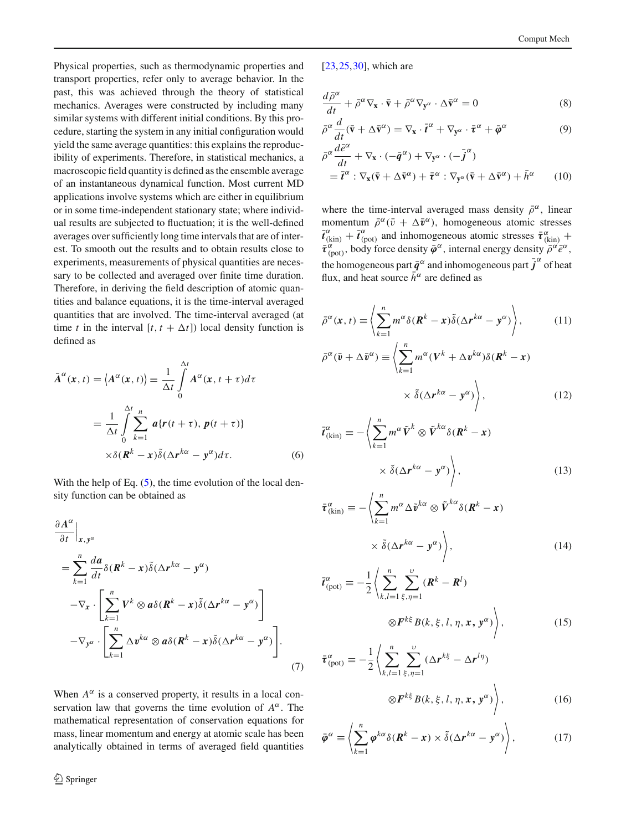Physical properties, such as thermodynamic properties and transport properties, refer only to average behavior. In the past, this was achieved through the theory of statistical mechanics. Averages were constructed by including many similar systems with different initial conditions. By this procedure, starting the system in any initial configuration would yield the same average quantities: this explains the reproducibility of experiments. Therefore, in statistical mechanics, a macroscopic field quantity is defined as the ensemble average of an instantaneous dynamical function. Most current MD applications involve systems which are either in equilibrium or in some time-independent stationary state; where individual results are subjected to fluctuation; it is the well-defined averages over sufficiently long time intervals that are of interest. To smooth out the results and to obtain results close to experiments, measurements of physical quantities are necessary to be collected and averaged over finite time duration. Therefore, in deriving the field description of atomic quantities and balance equations, it is the time-interval averaged quantities that are involved. The time-interval averaged (at time *t* in the interval  $[t, t + \Delta t]$  local density function is defined as

$$
\bar{A}^{\alpha}(\mathbf{x},t) = \langle A^{\alpha}(\mathbf{x},t) \rangle \equiv \frac{1}{\Delta t} \int_{0}^{\Delta t} A^{\alpha}(\mathbf{x},t+\tau) d\tau
$$

$$
= \frac{1}{\Delta t} \int_{0}^{\Delta t} \sum_{k=1}^{n} a\{r(t+\tau), p(t+\tau)\}
$$

$$
\times \delta(\mathbf{R}^{k}-\mathbf{x}) \tilde{\delta}(\Delta \mathbf{r}^{k\alpha}-\mathbf{y}^{\alpha}) d\tau.
$$
(6)

With the help of Eq. [\(5\)](#page-2-5), the time evolution of the local density function can be obtained as

$$
\frac{\partial A^{\alpha}}{\partial t}\Big|_{x,y^{\alpha}}\n= \sum_{k=1}^{n} \frac{da}{dt} \delta(\mathbf{R}^{k} - x) \tilde{\delta}(\Delta \mathbf{r}^{k\alpha} - y^{\alpha})\n- \nabla_{x} \cdot \left[ \sum_{k=1}^{n} V^{k} \otimes a \delta(\mathbf{R}^{k} - x) \tilde{\delta}(\Delta \mathbf{r}^{k\alpha} - y^{\alpha}) \right]\n- \nabla_{y^{\alpha}} \cdot \left[ \sum_{k=1}^{n} \Delta v^{k\alpha} \otimes a \delta(\mathbf{R}^{k} - x) \tilde{\delta}(\Delta \mathbf{r}^{k\alpha} - y^{\alpha}) \right].
$$
\n(7)

When  $A^{\alpha}$  is a conserved property, it results in a local conservation law that governs the time evolution of  $A^{\alpha}$ . The mathematical representation of conservation equations for mass, linear momentum and energy at atomic scale has been analytically obtained in terms of averaged field quantities [\[23](#page-11-14),[25,](#page-11-16)[30\]](#page-11-19), which are

<span id="page-3-0"></span>
$$
\frac{d\bar{\rho}^{\alpha}}{dt} + \bar{\rho}^{\alpha} \nabla_{\mathbf{x}} \cdot \bar{\mathbf{v}} + \bar{\rho}^{\alpha} \nabla_{\mathbf{y}^{\alpha}} \cdot \Delta \bar{\mathbf{v}}^{\alpha} = 0 \tag{8}
$$

$$
\bar{\rho}^{\alpha} \frac{d}{dt} (\bar{\mathbf{v}} + \Delta \bar{\mathbf{v}}^{\alpha}) = \nabla_{\mathbf{x}} \cdot \bar{t}^{\alpha} + \nabla_{\mathbf{y}^{\alpha}} \cdot \bar{\mathbf{v}}^{\alpha} + \bar{\boldsymbol{\varphi}}^{\alpha}
$$
(9)

$$
\bar{\rho}^{\alpha} \frac{d\bar{e}^{\alpha}}{dt} + \nabla_{\mathbf{x}} \cdot (-\bar{\boldsymbol{q}}^{\alpha}) + \nabla_{\mathbf{y}^{\alpha}} \cdot (-\bar{\boldsymbol{j}}^{\alpha}) \n= \bar{\boldsymbol{t}}^{\alpha} : \nabla_{\mathbf{x}} (\bar{\mathbf{v}} + \Delta \bar{\mathbf{v}}^{\alpha}) + \bar{\boldsymbol{\tau}}^{\alpha} : \nabla_{\mathbf{y}^{\alpha}} (\bar{\mathbf{v}} + \Delta \bar{\mathbf{v}}^{\alpha}) + \bar{h}^{\alpha}
$$
\n(10)

where the time-interval averaged mass density  $\bar{\rho}^{\alpha}$ , linear momentum  $\bar{\rho}^{\alpha}(\bar{v} + \Delta \bar{v}^{\alpha})$ , homogeneous atomic stresses  $\bar{t}^{\alpha}_{(kin)} + \bar{t}^{\alpha}_{(pot)}$  and inhomogeneous atomic stresses  $\bar{\tau}^{\alpha}_{(kin)}$  +  $\vec{\tau}_{(pot)}^{\alpha}$ , body force density  $\vec{\varphi}^{\alpha}$ , internal energy density  $\vec{\rho}^{\alpha} \vec{e}^{\alpha}$ , the homogeneous part  $\bar{q}^{\alpha}$  and inhomogeneous part  $\bar{j}^{\alpha}$  of heat flux, and heat source  $h^{\alpha}$  are defined as

$$
\bar{\rho}^{\alpha}(\mathbf{x},t) \equiv \left\langle \sum_{k=1}^{n} m^{\alpha} \delta(\mathbf{R}^{k} - \mathbf{x}) \tilde{\delta}(\Delta \mathbf{r}^{k\alpha} - \mathbf{y}^{\alpha}) \right\rangle, \tag{11}
$$

$$
\bar{\rho}^{\alpha}(\bar{\mathbf{v}} + \Delta \bar{\mathbf{v}}^{\alpha}) \equiv \left\langle \sum_{k=1}^{n} m^{\alpha} (V^{k} + \Delta \mathbf{v}^{k\alpha}) \delta(\mathbf{R}^{k} - \mathbf{x}) \times \tilde{\delta}(\Delta \mathbf{r}^{k\alpha} - \mathbf{y}^{\alpha}) \right\rangle, \tag{12}
$$

$$
\bar{t}_{(kin)}^{\alpha} \equiv -\left\langle \sum_{k=1}^{n} m^{\alpha} \tilde{V}^{k} \otimes \tilde{V}^{k\alpha} \delta(\mathbf{R}^{k} - \mathbf{x}) \times \tilde{\delta}(\Delta \mathbf{r}^{k\alpha} - \mathbf{y}^{\alpha}) \right\rangle, \qquad (13)
$$

$$
\bar{\tau}^{\alpha}_{(kin)} \equiv -\left\langle \sum_{k=1}^{n} m^{\alpha} \Delta \tilde{v}^{k\alpha} \otimes \tilde{V}^{k\alpha} \delta(\mathbf{R}^{k} - \mathbf{x}) \right\rangle
$$

$$
\times \tilde{\delta}(\Delta \mathbf{r}^{k\alpha} - \mathbf{y}^{\alpha}) \Bigg\rangle, \tag{14}
$$

$$
\bar{t}_{\text{(pot)}}^{\alpha} \equiv -\frac{1}{2} \left\langle \sum_{k,l=1}^{n} \sum_{\xi,\eta=1}^{v} (\boldsymbol{R}^{k} - \boldsymbol{R}^{l}) \right\rangle
$$
\n
$$
\otimes \boldsymbol{F}^{k\xi} B(k, \xi, l, \eta, \boldsymbol{x}, \boldsymbol{y}^{\alpha}) \right\rangle, \tag{15}
$$

$$
\bar{\tau}_{(\text{pot})}^{\alpha} \equiv -\frac{1}{2} \left\langle \sum_{k,l=1}^{n} \sum_{\xi,\eta=1}^{v} (\Delta r^{k\xi} - \Delta r^{l\eta}) \right\rangle
$$
\n
$$
\otimes F^{k\xi} B(k,\xi,l,\eta,x,y^{\alpha}) \right\rangle, \tag{16}
$$

$$
\bar{\varphi}^{\alpha} \equiv \left\langle \sum_{k=1}^{n} \varphi^{k\alpha} \delta(\mathbf{R}^{k} - \mathbf{x}) \times \tilde{\delta}(\Delta \mathbf{r}^{k\alpha} - \mathbf{y}^{\alpha}) \right\rangle, \tag{17}
$$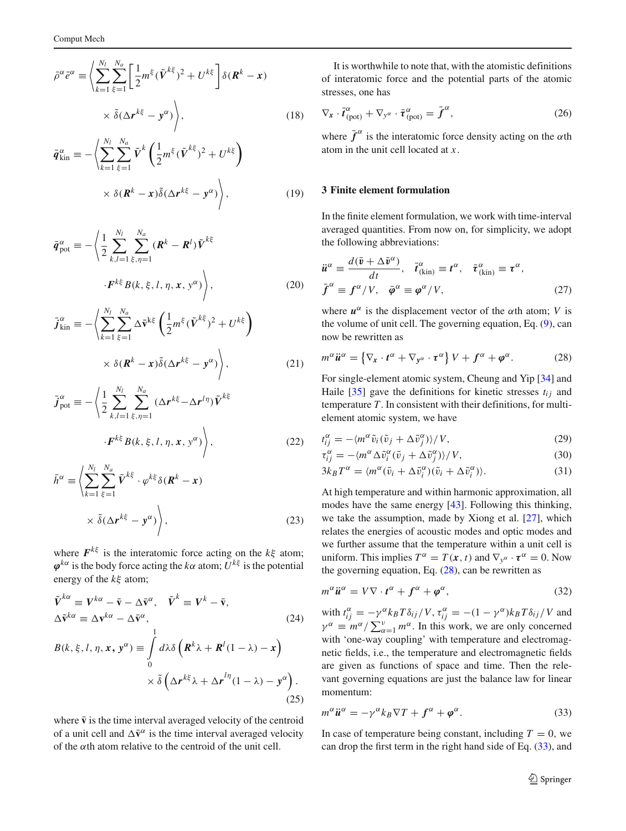$$
\bar{\rho}^{\alpha} \bar{e}^{\alpha} \equiv \left\langle \sum_{k=1}^{N_l} \sum_{\xi=1}^{N_a} \left[ \frac{1}{2} m^{\xi} (\tilde{V}^{k\xi})^2 + U^{k\xi} \right] \delta(\mathbf{R}^k - \mathbf{x}) \times \tilde{\delta}(\Delta \mathbf{r}^{k\xi} - \mathbf{y}^{\alpha}) \right\rangle, \tag{18}
$$

$$
\bar{q}_{\text{kin}}^{\alpha} = -\left\langle \sum_{k=1}^{N_l} \sum_{\xi=1}^{N_a} \tilde{V}^k \left( \frac{1}{2} m^{\xi} (\tilde{V}^{k\xi})^2 + U^{k\xi} \right) \times \delta(\mathbf{R}^k - \mathbf{x}) \tilde{\delta}(\Delta \mathbf{r}^{k\xi} - \mathbf{y}^{\alpha}) \right\rangle, \tag{19}
$$

$$
\bar{q}_{\text{pot}}^{\alpha} \equiv -\left\langle \frac{1}{2} \sum_{k,l=1}^{N_l} \sum_{\xi,\eta=1}^{N_a} (\boldsymbol{R}^k - \boldsymbol{R}^l) \tilde{\boldsymbol{V}}^{k\xi} \right\rangle
$$
\n
$$
\cdot \boldsymbol{F}^{k\xi} B(k, \xi, l, \eta, \boldsymbol{x}, \mathbf{y}^{\alpha}) \right\rangle, \tag{20}
$$

$$
\bar{\boldsymbol{j}}_{\text{kin}}^{\alpha} \equiv -\left\langle \sum_{k=1}^{N_l} \sum_{\xi=1}^{N_a} \Delta \tilde{\mathbf{v}}^{k\xi} \left( \frac{1}{2} m^{\xi} (\tilde{\boldsymbol{V}}^{k\xi})^2 + U^{k\xi} \right) \times \delta(\boldsymbol{R}^k - \mathbf{x}) \tilde{\delta} (\Delta \boldsymbol{r}^{k\xi} - \mathbf{y}^{\alpha}) \right\rangle, \tag{21}
$$

$$
\bar{j}_{\text{pot}}^{\alpha} \equiv -\left\langle \frac{1}{2} \sum_{k,l=1}^{N_l} \sum_{\xi,\eta=1}^{N_a} (\Delta \boldsymbol{r}^{k\xi} - \Delta \boldsymbol{r}^{l\eta}) \tilde{\boldsymbol{V}}^{k\xi} \right\rangle \cdot \boldsymbol{F}^{k\xi} B(k, \xi, l, \eta, x, y^{\alpha}) \right\rangle, \tag{22}
$$

$$
\bar{h}^{\alpha} \equiv \left\langle \sum_{k=1}^{N_l} \sum_{\xi=1}^{N_a} \tilde{V}^{k\xi} \cdot \varphi^{k\xi} \delta(\mathbf{R}^k - \mathbf{x}) \times \tilde{\delta}(\Delta \mathbf{r}^{k\xi} - \mathbf{y}^{\alpha}) \right\rangle, \tag{23}
$$

where  $F^{k\xi}$  is the interatomic force acting on the  $k\xi$  atom;  $\varphi^{k\alpha}$  is the body force acting the *k* $\alpha$  atom;  $U^{k\xi}$  is the potential energy of the *k*ξ atom;

$$
\tilde{V}^{k\alpha} \equiv V^{k\alpha} - \bar{v} - \Delta \bar{v}^{\alpha}, \quad \tilde{V}^{k} \equiv V^{k} - \bar{v},
$$
\n
$$
\Delta \tilde{v}^{k\alpha} \equiv \Delta v^{k\alpha} - \Delta \bar{v}^{\alpha}, \qquad (24)
$$
\n
$$
B(k, \xi, l, \eta, x, y^{\alpha}) \equiv \int_{0}^{1} d\lambda \delta \left( R^{k} \lambda + R^{l} (1 - \lambda) - x \right)
$$
\n
$$
\times \tilde{\delta} \left( \Delta r^{k\xi} \lambda + \Delta r^{l\eta} (1 - \lambda) - y^{\alpha} \right).
$$
\n(25)

where  $\bar{v}$  is the time interval averaged velocity of the centroid of a unit cell and  $\Delta \bar{v}^{\alpha}$  is the time interval averaged velocity of the  $\alpha$ th atom relative to the centroid of the unit cell.

It is worthwhile to note that, with the atomistic definitions of interatomic force and the potential parts of the atomic stresses, one has

$$
\nabla_{\mathbf{x}} \cdot \overline{\mathbf{t}}_{(\text{pot})}^{\alpha} + \nabla_{\mathbf{y}^{\alpha}} \cdot \overline{\mathbf{t}}_{(\text{pot})}^{\alpha} = \overline{\mathbf{f}}^{\alpha}, \tag{26}
$$

where  $\bar{f}^{\alpha}$  is the interatomic force density acting on the  $\alpha$ <sup>th</sup> atom in the unit cell located at *x*.

#### <span id="page-4-0"></span>**3 Finite element formulation**

In the finite element formulation, we work with time-interval averaged quantities. From now on, for simplicity, we adopt the following abbreviations:

$$
\ddot{u}^{\alpha} \equiv \frac{d(\bar{v} + \Delta \bar{v}^{\alpha})}{dt}, \quad \bar{t}^{\alpha}_{(kin)} \equiv t^{\alpha}, \quad \bar{\tau}^{\alpha}_{(kin)} \equiv \tau^{\alpha},
$$
\n
$$
\bar{f}^{\alpha} \equiv f^{\alpha}/V, \quad \bar{\varphi}^{\alpha} \equiv \varphi^{\alpha}/V,
$$
\n(27)

where  $u^{\alpha}$  is the displacement vector of the  $\alpha$ th atom; *V* is the volume of unit cell. The governing equation, Eq. [\(9\)](#page-3-0), can now be rewritten as

<span id="page-4-1"></span>
$$
m^{\alpha} \ddot{u}^{\alpha} = \left\{ \nabla_x \cdot t^{\alpha} + \nabla_{y^{\alpha}} \cdot \tau^{\alpha} \right\} V + f^{\alpha} + \varphi^{\alpha}.
$$
 (28)

For single-element atomic system, Cheung and Yip [\[34](#page-11-20)] and Haile  $[35]$  gave the definitions for kinetic stresses  $t_{ij}$  and temperature *T*. In consistent with their definitions, for multielement atomic system, we have

$$
t_{ij}^{\alpha} = -\langle m^{\alpha} \tilde{v}_i (\tilde{v}_j + \Delta \tilde{v}_j^{\alpha}) \rangle / V, \qquad (29)
$$

$$
\tau_{ij}^{\alpha} = -\langle m^{\alpha} \Delta \tilde{v}_i^{\alpha} (\tilde{v}_j + \Delta \tilde{v}_j^{\alpha}) \rangle / V, \qquad (30)
$$

$$
3k_B T^{\alpha} = \langle m^{\alpha} (\tilde{v}_i + \Delta \tilde{v}_i^{\alpha}) (\tilde{v}_i + \Delta \tilde{v}_i^{\alpha}) \rangle.
$$
 (31)

At high temperature and within harmonic approximation, all modes have the same energy [\[43\]](#page-11-22). Following this thinking, we take the assumption, made by Xiong et al. [\[27\]](#page-11-23), which relates the energies of acoustic modes and optic modes and we further assume that the temperature within a unit cell is uniform. This implies  $T^{\alpha} = T(x, t)$  and  $\nabla_{y^{\alpha}} \cdot \tau^{\alpha} = 0$ . Now the governing equation, Eq.  $(28)$ , can be rewritten as

$$
m^{\alpha} \ddot{\mathbf{u}}^{\alpha} = V \nabla \cdot t^{\alpha} + f^{\alpha} + \boldsymbol{\varphi}^{\alpha}, \qquad (32)
$$

with  $t_{ij}^{\alpha} = -\gamma^{\alpha} k_B T \delta_{ij} / V$ ,  $\tau_{ij}^{\alpha} = -(1 - \gamma^{\alpha}) k_B T \delta_{ij} / V$  and  $\gamma^{\alpha} \equiv m^{\alpha}/\sum_{\alpha=1}^{v} m^{\alpha}$ . In this work, we are only concerned with 'one-way coupling' with temperature and electromagnetic fields, i.e., the temperature and electromagnetic fields are given as functions of space and time. Then the relevant governing equations are just the balance law for linear momentum:

<span id="page-4-2"></span>
$$
m^{\alpha} \ddot{\mathbf{u}}^{\alpha} = -\gamma^{\alpha} k_B \nabla T + f^{\alpha} + \boldsymbol{\varphi}^{\alpha}.
$$
 (33)

In case of temperature being constant, including  $T = 0$ , we can drop the first term in the right hand side of Eq. [\(33\)](#page-4-2), and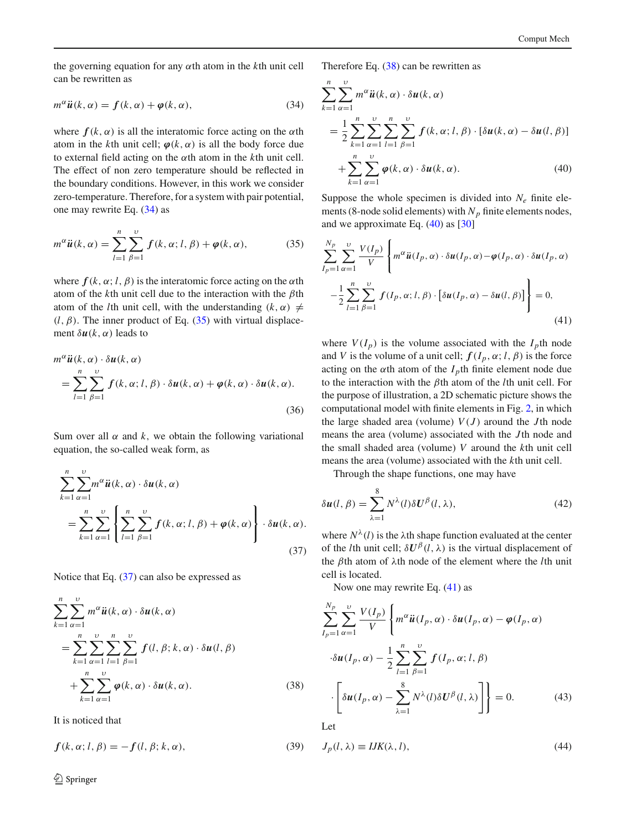the governing equation for any αth atom in the *k*th unit cell can be rewritten as

<span id="page-5-0"></span>
$$
m^{\alpha}\ddot{\boldsymbol{u}}(k,\alpha) = \boldsymbol{f}(k,\alpha) + \boldsymbol{\varphi}(k,\alpha),\tag{34}
$$

where  $f(k, \alpha)$  is all the interatomic force acting on the  $\alpha$ th atom in the *k*th unit cell;  $\varphi(k, \alpha)$  is all the body force due to external field acting on the αth atom in the *k*th unit cell. The effect of non zero temperature should be reflected in the boundary conditions. However, in this work we consider zero-temperature. Therefore, for a system with pair potential, one may rewrite Eq. [\(34\)](#page-5-0) as

<span id="page-5-1"></span>
$$
m^{\alpha}\ddot{\boldsymbol{u}}(k,\alpha) = \sum_{l=1}^{n} \sum_{\beta=1}^{v} f(k,\alpha;l,\beta) + \varphi(k,\alpha),
$$
 (35)

where  $f(k, \alpha; l, \beta)$  is the interatomic force acting on the  $\alpha$ th atom of the *k*th unit cell due to the interaction with the βth atom of the *l*th unit cell, with the understanding  $(k, \alpha) \neq$  $(l, \beta)$ . The inner product of Eq. [\(35\)](#page-5-1) with virtual displacement  $\delta u(k, \alpha)$  leads to

$$
m^{\alpha} \ddot{\boldsymbol{u}}(k, \alpha) \cdot \delta \boldsymbol{u}(k, \alpha)
$$
  
= 
$$
\sum_{l=1}^{n} \sum_{\beta=1}^{v} f(k, \alpha; l, \beta) \cdot \delta \boldsymbol{u}(k, \alpha) + \varphi(k, \alpha) \cdot \delta \boldsymbol{u}(k, \alpha).
$$
 (36)

Sum over all  $\alpha$  and  $k$ , we obtain the following variational equation, the so-called weak form, as

<span id="page-5-2"></span>
$$
\sum_{k=1}^{n} \sum_{\alpha=1}^{v} m^{\alpha} \ddot{u}(k, \alpha) \cdot \delta u(k, \alpha)
$$
  
= 
$$
\sum_{k=1}^{n} \sum_{\alpha=1}^{v} \left\{ \sum_{l=1}^{n} \sum_{\beta=1}^{v} f(k, \alpha; l, \beta) + \varphi(k, \alpha) \right\} \cdot \delta u(k, \alpha).
$$
 (37)

Notice that Eq. [\(37\)](#page-5-2) can also be expressed as

<span id="page-5-3"></span>
$$
\sum_{k=1}^{n} \sum_{\alpha=1}^{v} m^{\alpha} \ddot{u}(k, \alpha) \cdot \delta u(k, \alpha)
$$
  
= 
$$
\sum_{k=1}^{n} \sum_{\alpha=1}^{v} \sum_{l=1}^{n} \sum_{\beta=1}^{v} f(l, \beta; k, \alpha) \cdot \delta u(l, \beta)
$$
  
+ 
$$
\sum_{k=1}^{n} \sum_{\alpha=1}^{v} \varphi(k, \alpha) \cdot \delta u(k, \alpha).
$$
 (38)

It is noticed that

$$
f(k, \alpha; l, \beta) = -f(l, \beta; k, \alpha),\tag{39}
$$

Therefore Eq. [\(38\)](#page-5-3) can be rewritten as

<span id="page-5-4"></span>
$$
\sum_{k=1}^{n} \sum_{\alpha=1}^{v} m^{\alpha} \ddot{\mathbf{u}}(k, \alpha) \cdot \delta \mathbf{u}(k, \alpha)
$$
  
= 
$$
\frac{1}{2} \sum_{k=1}^{n} \sum_{\alpha=1}^{v} \sum_{l=1}^{n} \sum_{\beta=1}^{v} f(k, \alpha; l, \beta) \cdot [\delta \mathbf{u}(k, \alpha) - \delta \mathbf{u}(l, \beta)]
$$
  
+ 
$$
\sum_{k=1}^{n} \sum_{\alpha=1}^{v} \varphi(k, \alpha) \cdot \delta \mathbf{u}(k, \alpha).
$$
 (40)

Suppose the whole specimen is divided into  $N_e$  finite elements (8-node solid elements) with  $N_p$  finite elements nodes, and we approximate Eq. [\(40\)](#page-5-4) as [\[30\]](#page-11-19)

<span id="page-5-5"></span>
$$
\sum_{I_p=1}^{N_p} \sum_{\alpha=1}^{v} \frac{V(I_p)}{V} \left\{ m^{\alpha} \ddot{u}(I_p, \alpha) \cdot \delta u(I_p, \alpha) - \varphi(I_p, \alpha) \cdot \delta u(I_p, \alpha) - \frac{1}{2} \sum_{l=1}^{n} \sum_{\beta=1}^{v} f(I_p, \alpha; l, \beta) \cdot [\delta u(I_p, \alpha) - \delta u(l, \beta)] \right\} = 0,
$$
\n(41)

where  $V(I_p)$  is the volume associated with the  $I_p$ th node and *V* is the volume of a unit cell;  $f(I_p, \alpha; l, \beta)$  is the force acting on the  $\alpha$ th atom of the  $I_p$ th finite element node due to the interaction with the βth atom of the *l*th unit cell. For the purpose of illustration, a 2D schematic picture shows the computational model with finite elements in Fig. [2,](#page-6-0) in which the large shaded area (volume)  $V(J)$  around the *J* th node means the area (volume) associated with the *J* th node and the small shaded area (volume) *V* around the *k*th unit cell means the area (volume) associated with the *k*th unit cell.

Through the shape functions, one may have

$$
\delta u(l,\beta) = \sum_{\lambda=1}^{8} N^{\lambda}(l) \delta U^{\beta}(l,\lambda), \qquad (42)
$$

where  $N^{\lambda}(l)$  is the  $\lambda$ th shape function evaluated at the center of the *l*th unit cell;  $\delta U^{\beta}(l, \lambda)$  is the virtual displacement of the βth atom of λth node of the element where the *l*th unit cell is located.

Now one may rewrite Eq. [\(41\)](#page-5-5) as

<span id="page-5-6"></span>
$$
\sum_{I_p=1}^{N_p} \sum_{\alpha=1}^{v} \frac{V(I_p)}{V} \left\{ m^{\alpha} \ddot{\boldsymbol{u}}(I_p, \alpha) \cdot \delta \boldsymbol{u}(I_p, \alpha) - \boldsymbol{\varphi}(I_p, \alpha) \right\}
$$

$$
\cdot \delta \boldsymbol{u}(I_p, \alpha) - \frac{1}{2} \sum_{l=1}^{n} \sum_{\beta=1}^{v} f(I_p, \alpha; l, \beta)
$$

$$
\cdot \left[ \delta \boldsymbol{u}(I_p, \alpha) - \sum_{\lambda=1}^{8} N^{\lambda}(l) \delta U^{\beta}(l, \lambda) \right] = 0. \tag{43}
$$

Let

$$
J_p(l, \lambda) \equiv IJK(\lambda, l),\tag{44}
$$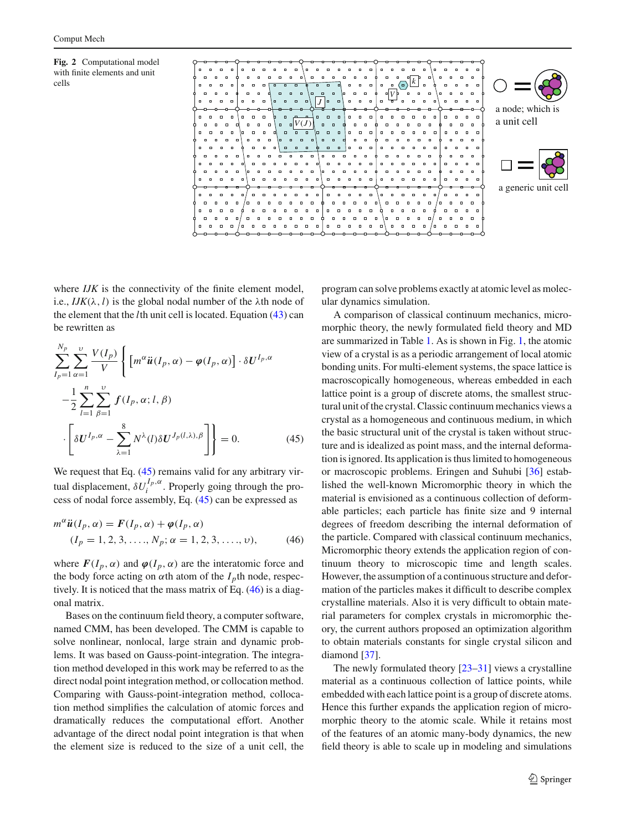<span id="page-6-0"></span>



where *IJK* is the connectivity of the finite element model, i.e.,  $IJK(\lambda, l)$  is the global nodal number of the  $\lambda$ th node of the element that the *l*th unit cell is located. Equation [\(43\)](#page-5-6) can be rewritten as

<span id="page-6-1"></span>
$$
\sum_{I_p=1}^{N_p} \sum_{\alpha=1}^{v} \frac{V(I_p)}{V} \left\{ \left[ m^{\alpha} \ddot{u}(I_p, \alpha) - \varphi(I_p, \alpha) \right] \cdot \delta U^{I_p, \alpha} - \frac{1}{2} \sum_{l=1}^{n} \sum_{\beta=1}^{v} f(I_p, \alpha; l, \beta) - \left[ \delta U^{I_p, \alpha} - \sum_{\lambda=1}^{8} N^{\lambda}(l) \delta U^{J_p(l, \lambda), \beta} \right] \right\} = 0.
$$
 (45)

We request that Eq. [\(45\)](#page-6-1) remains valid for any arbitrary virtual displacement,  $\delta U_i^{I_p,\alpha}$ . Properly going through the process of nodal force assembly, Eq. [\(45\)](#page-6-1) can be expressed as

<span id="page-6-2"></span>
$$
m^{\alpha} \ddot{u} (I_p, \alpha) = F(I_p, \alpha) + \varphi(I_p, \alpha)
$$
  
(*I<sub>p</sub>* = 1, 2, 3, ..., *N<sub>p</sub>*;  $\alpha$  = 1, 2, 3, ..., *v*), (46)

where  $F(I_p, \alpha)$  and  $\varphi(I_p, \alpha)$  are the interatomic force and the body force acting on  $\alpha$ th atom of the  $I_p$ th node, respectively. It is noticed that the mass matrix of Eq. [\(46\)](#page-6-2) is a diagonal matrix.

Bases on the continuum field theory, a computer software, named CMM, has been developed. The CMM is capable to solve nonlinear, nonlocal, large strain and dynamic problems. It was based on Gauss-point-integration. The integration method developed in this work may be referred to as the direct nodal point integration method, or collocation method. Comparing with Gauss-point-integration method, collocation method simplifies the calculation of atomic forces and dramatically reduces the computational effort. Another advantage of the direct nodal point integration is that when the element size is reduced to the size of a unit cell, the program can solve problems exactly at atomic level as molecular dynamics simulation.

A comparison of classical continuum mechanics, micromorphic theory, the newly formulated field theory and MD are summarized in Table [1.](#page-7-1) As is shown in Fig. [1,](#page-2-3) the atomic view of a crystal is as a periodic arrangement of local atomic bonding units. For multi-element systems, the space lattice is macroscopically homogeneous, whereas embedded in each lattice point is a group of discrete atoms, the smallest structural unit of the crystal. Classic continuum mechanics views a crystal as a homogeneous and continuous medium, in which the basic structural unit of the crystal is taken without structure and is idealized as point mass, and the internal deformation is ignored. Its application is thus limited to homogeneous or macroscopic problems. Eringen and Suhubi [\[36\]](#page-11-24) established the well-known Micromorphic theory in which the material is envisioned as a continuous collection of deformable particles; each particle has finite size and 9 internal degrees of freedom describing the internal deformation of the particle. Compared with classical continuum mechanics, Micromorphic theory extends the application region of continuum theory to microscopic time and length scales. However, the assumption of a continuous structure and deformation of the particles makes it difficult to describe complex crystalline materials. Also it is very difficult to obtain material parameters for complex crystals in micromorphic theory, the current authors proposed an optimization algorithm to obtain materials constants for single crystal silicon and diamond [\[37\]](#page-11-25).

The newly formulated theory [\[23](#page-11-14)[–31](#page-11-15)] views a crystalline material as a continuous collection of lattice points, while embedded with each lattice point is a group of discrete atoms. Hence this further expands the application region of micromorphic theory to the atomic scale. While it retains most of the features of an atomic many-body dynamics, the new field theory is able to scale up in modeling and simulations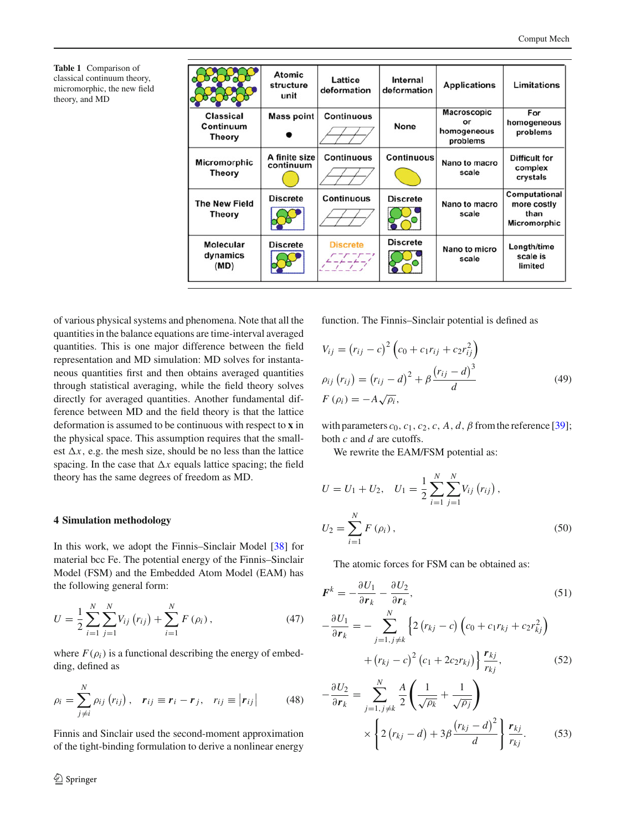<span id="page-7-1"></span>**Table 1** Comparison of classical continuum theory, micromorphic, the new field theory, and MD

|                                                | <b>Atomic</b><br>structure<br>unit | Lattice<br>deformation        | Internal<br>deformation | <b>Applications</b>                                 | Limitations                                                 |
|------------------------------------------------|------------------------------------|-------------------------------|-------------------------|-----------------------------------------------------|-------------------------------------------------------------|
| <b>Classical</b><br>Continuum<br><b>Theory</b> | <b>Mass point</b>                  | <b>Continuous</b>             | None                    | <b>Macroscopic</b><br>or<br>homogeneous<br>problems | For<br>homogeneous<br>problems                              |
| Micromorphic<br><b>Theory</b>                  | A finite size<br>continuum         | <b>Continuous</b>             | <b>Continuous</b>       | Nano to macro<br>scale                              | Difficult for<br>complex<br>crystals                        |
| <b>The New Field</b><br><b>Theory</b>          | <b>Discrete</b>                    | <b>Continuous</b>             | <b>Discrete</b>         | Nano to macro<br>scale                              | Computational<br>more costly<br>than<br><b>Micromorphic</b> |
| Molecular<br>dynamics<br>(MD)                  | <b>Discrete</b>                    | <b>Discrete</b><br>$-+ - + -$ | <b>Discrete</b>         | Nano to micro<br>scale                              | Length/time<br>scale is<br>limited                          |

of various physical systems and phenomena. Note that all the quantities in the balance equations are time-interval averaged quantities. This is one major difference between the field representation and MD simulation: MD solves for instantaneous quantities first and then obtains averaged quantities through statistical averaging, while the field theory solves directly for averaged quantities. Another fundamental difference between MD and the field theory is that the lattice deformation is assumed to be continuous with respect to **x** in the physical space. This assumption requires that the smallest  $\Delta x$ , e.g. the mesh size, should be no less than the lattice spacing. In the case that  $\Delta x$  equals lattice spacing; the field theory has the same degrees of freedom as MD.

# <span id="page-7-0"></span>**4 Simulation methodology**

In this work, we adopt the Finnis–Sinclair Model [\[38\]](#page-11-26) for material bcc Fe. The potential energy of the Finnis–Sinclair Model (FSM) and the Embedded Atom Model (EAM) has the following general form:

$$
U = \frac{1}{2} \sum_{i=1}^{N} \sum_{j=1}^{N} V_{ij} (r_{ij}) + \sum_{i=1}^{N} F(\rho_i), \qquad (47)
$$

where  $F(\rho_i)$  is a functional describing the energy of embedding, defined as

$$
\rho_i = \sum_{j \neq i}^{N} \rho_{ij} (r_{ij}), \quad \mathbf{r}_{ij} \equiv \mathbf{r}_i - \mathbf{r}_j, \quad r_{ij} \equiv |\mathbf{r}_{ij}| \tag{48}
$$

Finnis and Sinclair used the second-moment approximation of the tight-binding formulation to derive a nonlinear energy function. The Finnis–Sinclair potential is defined as

$$
V_{ij} = (r_{ij} - c)^2 (c_0 + c_1 r_{ij} + c_2 r_{ij}^2)
$$
  
\n
$$
\rho_{ij} (r_{ij}) = (r_{ij} - d)^2 + \beta \frac{(r_{ij} - d)^3}{d}
$$
  
\n
$$
F(\rho_i) = -A\sqrt{\rho_i},
$$
\n(49)

with parameters  $c_0$ ,  $c_1$ ,  $c_2$ ,  $c$ ,  $A$ ,  $d$ ,  $\beta$  from the reference [\[39](#page-11-27)]; both *c* and *d* are cutoffs.

We rewrite the EAM/FSM potential as:

$$
U = U_1 + U_2, \quad U_1 = \frac{1}{2} \sum_{i=1}^{N} \sum_{j=1}^{N} V_{ij} (r_{ij}),
$$

$$
U_2 = \sum_{i=1}^{N} F(\rho_i), \tag{50}
$$

The atomic forces for FSM can be obtained as:

$$
\mathbf{F}^{k} = -\frac{\partial U_{1}}{\partial \mathbf{r}_{k}} - \frac{\partial U_{2}}{\partial \mathbf{r}_{k}},
$$
(51)  

$$
-\frac{\partial U_{1}}{\partial \mathbf{r}_{k}} = -\sum_{j=1, j\neq k}^{N} \left\{ 2(r_{kj} - c) \left( c_{0} + c_{1}r_{kj} + c_{2}r_{kj}^{2} \right) + (r_{kj} - c)^{2} \left( c_{1} + 2c_{2}r_{kj} \right) \right\} \frac{\mathbf{r}_{kj}}{r_{kj}},
$$
(52)

$$
-\frac{\partial U_2}{\partial \mathbf{r}_k} = \sum_{j=1, j \neq k}^{N} \frac{A}{2} \left( \frac{1}{\sqrt{\rho_k}} + \frac{1}{\sqrt{\rho_j}} \right)
$$

$$
\times \left\{ 2 \left( r_{kj} - d \right) + 3\beta \frac{\left( r_{kj} - d \right)^2}{d} \right\} \frac{\mathbf{r}_{kj}}{r_{kj}}.
$$
(53)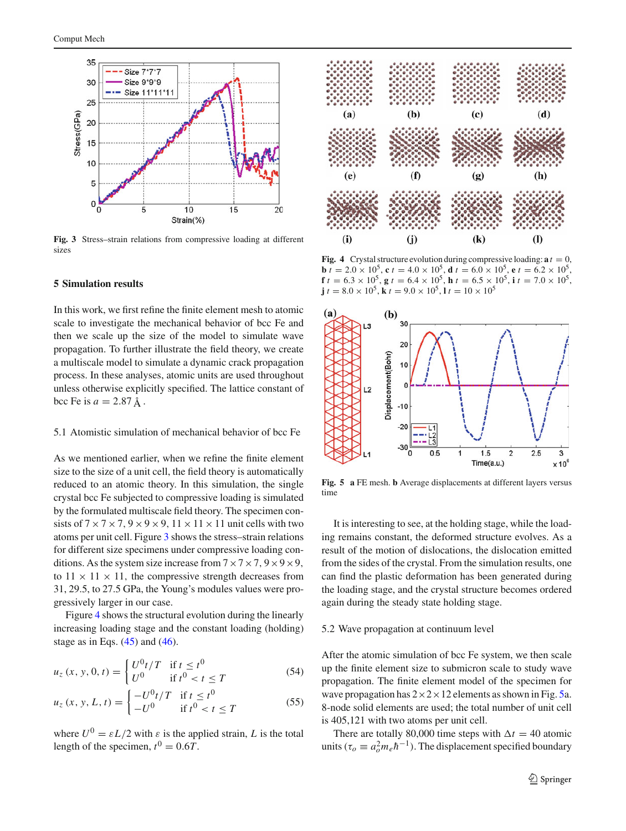

<span id="page-8-1"></span>**Fig. 3** Stress–strain relations from compressive loading at different sizes

#### <span id="page-8-0"></span>**5 Simulation results**

In this work, we first refine the finite element mesh to atomic scale to investigate the mechanical behavior of bcc Fe and then we scale up the size of the model to simulate wave propagation. To further illustrate the field theory, we create a multiscale model to simulate a dynamic crack propagation process. In these analyses, atomic units are used throughout unless otherwise explicitly specified. The lattice constant of bcc Fe is  $a = 2.87 \text{ Å}$ .

#### 5.1 Atomistic simulation of mechanical behavior of bcc Fe

As we mentioned earlier, when we refine the finite element size to the size of a unit cell, the field theory is automatically reduced to an atomic theory. In this simulation, the single crystal bcc Fe subjected to compressive loading is simulated by the formulated multiscale field theory. The specimen consists of  $7 \times 7 \times 7$ ,  $9 \times 9 \times 9$ ,  $11 \times 11 \times 11$  unit cells with two atoms per unit cell. Figure [3](#page-8-1) shows the stress–strain relations for different size specimens under compressive loading conditions. As the system size increase from  $7 \times 7 \times 7$ ,  $9 \times 9 \times 9$ , to  $11 \times 11 \times 11$ , the compressive strength decreases from 31, 29.5, to 27.5 GPa, the Young's modules values were progressively larger in our case.

Figure [4](#page-8-2) shows the structural evolution during the linearly increasing loading stage and the constant loading (holding) stage as in Eqs.  $(45)$  and  $(46)$ .

$$
u_z(x, y, 0, t) = \begin{cases} U^0 t/T & \text{if } t \le t^0\\ U^0 & \text{if } t^0 < t \le T \end{cases}
$$
 (54)

$$
u_z(x, y, L, t) = \begin{cases} -U^0 t/T & \text{if } t \le t^0\\ -U^0 & \text{if } t^0 < t \le T \end{cases}
$$
(55)

where  $U^0 = \varepsilon L/2$  with  $\varepsilon$  is the applied strain, *L* is the total length of the specimen,  $t^0 = 0.6T$ .



<span id="page-8-2"></span>**Fig. 4** Crystal structure evolution during compressive loading:  $a t = 0$ , **b**  $\overrightarrow{t} = 2.0 \times 10^5$ , **c**  $t = 4.0 \times 10^5$ , **d**  $\overrightarrow{t} = 6.0 \times 10^5$ , **e**  $\overrightarrow{t} = 6.2 \times 10^5$ , **f**  $t = 6.3 \times 10^5$ , **g**  $t = 6.4 \times 10^5$ , **h**  $t = 6.5 \times 10^5$ , **i**  $t = 7.0 \times 10^5$ ,  $j t = 8.0 \times 10^5$ , **k**  $t = 9.0 \times 10^5$ , **l**  $t = 10 \times 10^5$ 



<span id="page-8-3"></span>**Fig. 5 a** FE mesh. **b** Average displacements at different layers versus time

It is interesting to see, at the holding stage, while the loading remains constant, the deformed structure evolves. As a result of the motion of dislocations, the dislocation emitted from the sides of the crystal. From the simulation results, one can find the plastic deformation has been generated during the loading stage, and the crystal structure becomes ordered again during the steady state holding stage.

# 5.2 Wave propagation at continuum level

After the atomic simulation of bcc Fe system, we then scale up the finite element size to submicron scale to study wave propagation. The finite element model of the specimen for wave propagation has  $2 \times 2 \times 12$  elements as shown in Fig. [5a](#page-8-3). 8-node solid elements are used; the total number of unit cell is 405,121 with two atoms per unit cell.

There are totally 80,000 time steps with  $\Delta t = 40$  atomic units ( $\tau_o \equiv a_o^2 m_e \hbar^{-1}$ ). The displacement specified boundary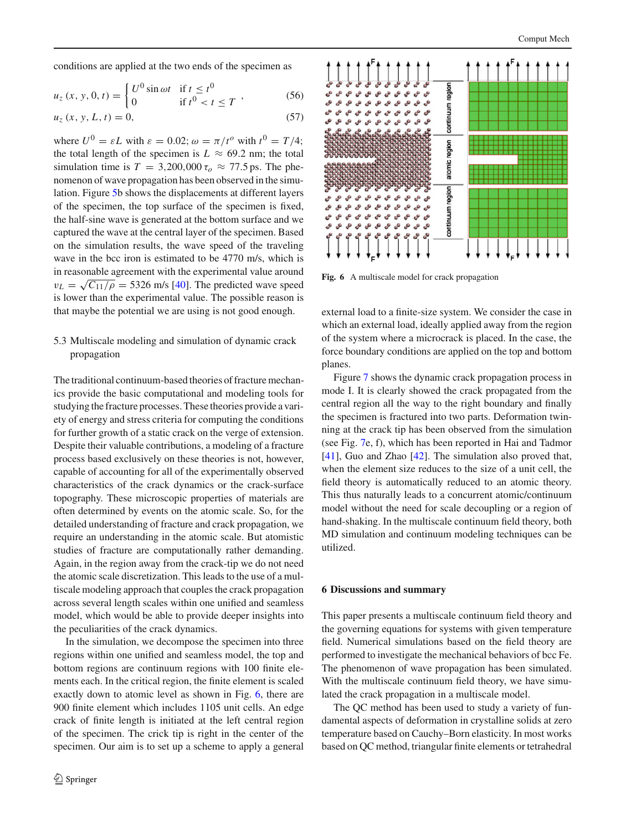conditions are applied at the two ends of the specimen as

$$
u_z(x, y, 0, t) = \begin{cases} U^0 \sin \omega t & \text{if } t \le t^0 \\ 0 & \text{if } t^0 < t \le T \end{cases},
$$
 (56)

$$
u_z(x, y, L, t) = 0,
$$
\n(57)

where  $U^0 = \varepsilon L$  with  $\varepsilon = 0.02$ ;  $\omega = \pi / t^{\circ}$  with  $t^0 = T/4$ ; the total length of the specimen is  $L \approx 69.2$  nm; the total simulation time is  $T = 3,200,000 \tau_0 \approx 77.5 \text{ ps}$ . The phenomenon of wave propagation has been observed in the simulation. Figure [5b](#page-8-3) shows the displacements at different layers of the specimen, the top surface of the specimen is fixed, the half-sine wave is generated at the bottom surface and we captured the wave at the central layer of the specimen. Based on the simulation results, the wave speed of the traveling wave in the bcc iron is estimated to be 4770 m/s, which is in reasonable agreement with the experimental value around  $v_L = \sqrt{C_{11}/\rho} = 5326$  m/s [\[40\]](#page-11-28). The predicted wave speed is lower than the experimental value. The possible reason is that maybe the potential we are using is not good enough.

# 5.3 Multiscale modeling and simulation of dynamic crack propagation

The traditional continuum-based theories of fracture mechanics provide the basic computational and modeling tools for studying the fracture processes. These theories provide a variety of energy and stress criteria for computing the conditions for further growth of a static crack on the verge of extension. Despite their valuable contributions, a modeling of a fracture process based exclusively on these theories is not, however, capable of accounting for all of the experimentally observed characteristics of the crack dynamics or the crack-surface topography. These microscopic properties of materials are often determined by events on the atomic scale. So, for the detailed understanding of fracture and crack propagation, we require an understanding in the atomic scale. But atomistic studies of fracture are computationally rather demanding. Again, in the region away from the crack-tip we do not need the atomic scale discretization. This leads to the use of a multiscale modeling approach that couples the crack propagation across several length scales within one unified and seamless model, which would be able to provide deeper insights into the peculiarities of the crack dynamics.

In the simulation, we decompose the specimen into three regions within one unified and seamless model, the top and bottom regions are continuum regions with 100 finite elements each. In the critical region, the finite element is scaled exactly down to atomic level as shown in Fig. [6,](#page-9-1) there are 900 finite element which includes 1105 unit cells. An edge crack of finite length is initiated at the left central region of the specimen. The crick tip is right in the center of the specimen. Our aim is to set up a scheme to apply a general



<span id="page-9-1"></span>Fig. 6 A multiscale model for crack propagation

external load to a finite-size system. We consider the case in which an external load, ideally applied away from the region of the system where a microcrack is placed. In the case, the force boundary conditions are applied on the top and bottom planes.

Figure [7](#page-10-2) shows the dynamic crack propagation process in mode I. It is clearly showed the crack propagated from the central region all the way to the right boundary and finally the specimen is fractured into two parts. Deformation twinning at the crack tip has been observed from the simulation (see Fig. [7e](#page-10-2), f), which has been reported in Hai and Tadmor [\[41](#page-11-29)], Guo and Zhao [\[42\]](#page-11-30). The simulation also proved that, when the element size reduces to the size of a unit cell, the field theory is automatically reduced to an atomic theory. This thus naturally leads to a concurrent atomic/continuum model without the need for scale decoupling or a region of hand-shaking. In the multiscale continuum field theory, both MD simulation and continuum modeling techniques can be utilized.

#### <span id="page-9-0"></span>**6 Discussions and summary**

This paper presents a multiscale continuum field theory and the governing equations for systems with given temperature field. Numerical simulations based on the field theory are performed to investigate the mechanical behaviors of bcc Fe. The phenomenon of wave propagation has been simulated. With the multiscale continuum field theory, we have simulated the crack propagation in a multiscale model.

The QC method has been used to study a variety of fundamental aspects of deformation in crystalline solids at zero temperature based on Cauchy–Born elasticity. In most works based on QC method, triangular finite elements or tetrahedral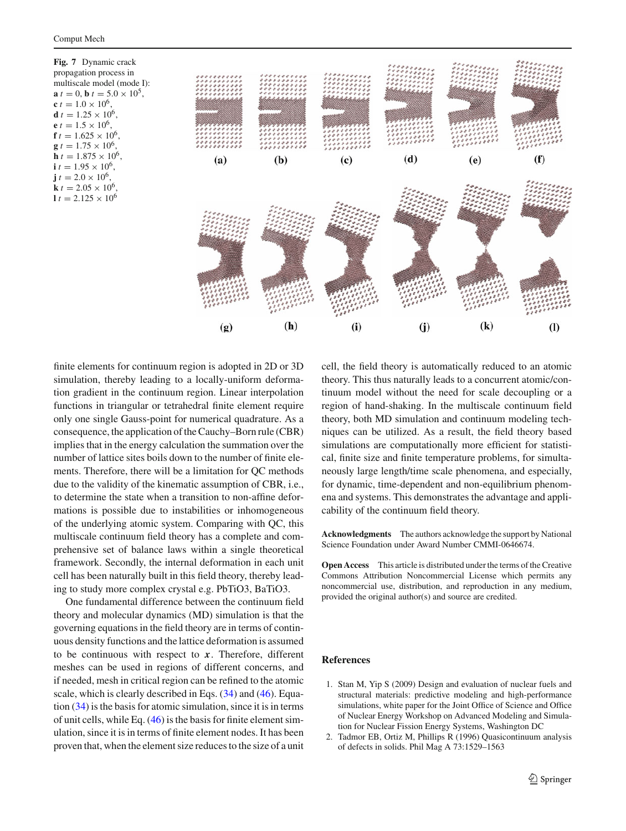<span id="page-10-2"></span>

finite elements for continuum region is adopted in 2D or 3D simulation, thereby leading to a locally-uniform deformation gradient in the continuum region. Linear interpolation functions in triangular or tetrahedral finite element require only one single Gauss-point for numerical quadrature. As a consequence, the application of the Cauchy–Born rule (CBR) implies that in the energy calculation the summation over the number of lattice sites boils down to the number of finite elements. Therefore, there will be a limitation for QC methods due to the validity of the kinematic assumption of CBR, i.e., to determine the state when a transition to non-affine deformations is possible due to instabilities or inhomogeneous of the underlying atomic system. Comparing with QC, this multiscale continuum field theory has a complete and comprehensive set of balance laws within a single theoretical framework. Secondly, the internal deformation in each unit cell has been naturally built in this field theory, thereby leading to study more complex crystal e.g. PbTiO3, BaTiO3.

One fundamental difference between the continuum field theory and molecular dynamics (MD) simulation is that the governing equations in the field theory are in terms of continuous density functions and the lattice deformation is assumed to be continuous with respect to *x*. Therefore, different meshes can be used in regions of different concerns, and if needed, mesh in critical region can be refined to the atomic scale, which is clearly described in Eqs. [\(34\)](#page-5-0) and [\(46\)](#page-6-2). Equation [\(34\)](#page-5-0) is the basis for atomic simulation, since it is in terms of unit cells, while Eq. [\(46\)](#page-6-2) is the basis for finite element simulation, since it is in terms of finite element nodes. It has been proven that, when the element size reduces to the size of a unit cell, the field theory is automatically reduced to an atomic theory. This thus naturally leads to a concurrent atomic/continuum model without the need for scale decoupling or a region of hand-shaking. In the multiscale continuum field theory, both MD simulation and continuum modeling techniques can be utilized. As a result, the field theory based simulations are computationally more efficient for statistical, finite size and finite temperature problems, for simultaneously large length/time scale phenomena, and especially, for dynamic, time-dependent and non-equilibrium phenomena and systems. This demonstrates the advantage and applicability of the continuum field theory.

**Acknowledgments** The authors acknowledge the support by National Science Foundation under Award Number CMMI-0646674.

**Open Access** This article is distributed under the terms of the Creative Commons Attribution Noncommercial License which permits any noncommercial use, distribution, and reproduction in any medium, provided the original author(s) and source are credited.

# **References**

- <span id="page-10-0"></span>1. Stan M, Yip S (2009) Design and evaluation of nuclear fuels and structural materials: predictive modeling and high-performance simulations, white paper for the Joint Office of Science and Office of Nuclear Energy Workshop on Advanced Modeling and Simulation for Nuclear Fission Energy Systems, Washington DC
- <span id="page-10-1"></span>2. Tadmor EB, Ortiz M, Phillips R (1996) Quasicontinuum analysis of defects in solids. Phil Mag A 73:1529–1563

 $(1)$